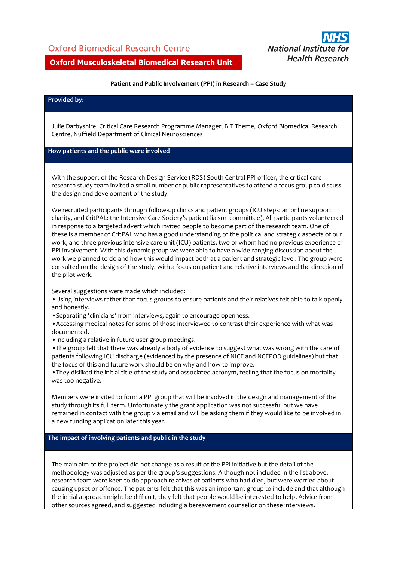## Oxford Biomedical Research Centre



## **Oxford Musculoskeletal Biomedical Research Unit**

#### **Patient and Public Involvement (PPI) in Research – Case Study**

#### **Provided by:**

Julie Darbyshire, Critical Care Research Programme Manager, BIT Theme, Oxford Biomedical Research Centre, Nuffield Department of Clinical Neurosciences

## **How patients and the public were involved**

With the support of the Research Design Service (RDS) South Central PPI officer, the critical care research study team invited a small number of public representatives to attend a focus group to discuss the design and development of the study.

We recruited participants through follow-up clinics and patient groups (ICU steps: an online support charity, and CritPAL: the Intensive Care Society's patient liaison committee). All participants volunteered in response to a targeted advert which invited people to become part of the research team. One of these is a member of CritPAL who has a good understanding of the political and strategic aspects of our work, and three previous intensive care unit (ICU) patients, two of whom had no previous experience of PPI involvement. With this dynamic group we were able to have a wide-ranging discussion about the work we planned to do and how this would impact both at a patient and strategic level. The group were consulted on the design of the study, with a focus on patient and relative interviews and the direction of the pilot work.

Several suggestions were made which included:

•Using interviews rather than focus groups to ensure patients and their relatives felt able to talk openly and honestly.

•Separating 'clinicians' from interviews, again to encourage openness.

•Accessing medical notes for some of those interviewed to contrast their experience with what was documented.

•Including a relative in future user group meetings.

•The group felt that there was already a body of evidence to suggest what was wrong with the care of patients following ICU discharge (evidenced by the presence of NICE and NCEPOD guidelines) but that the focus of this and future work should be on why and how to improve.

•They disliked the initial title of the study and associated acronym, feeling that the focus on mortality was too negative.

Members were invited to form a PPI group that will be involved in the design and management of the study through its full term. Unfortunately the grant application was not successful but we have remained in contact with the group via email and will be asking them if they would like to be involved in a new funding application later this year.

#### **The impact of involving patients and public in the study**

The main aim of the project did not change as a result of the PPI initiative but the detail of the methodology was adjusted as per the group's suggestions. Although not included in the list above, research team were keen to do approach relatives of patients who had died, but were worried about causing upset or offence. The patients felt that this was an important group to include and that although the initial approach might be difficult, they felt that people would be interested to help. Advice from other sources agreed, and suggested including a bereavement counsellor on these interviews.